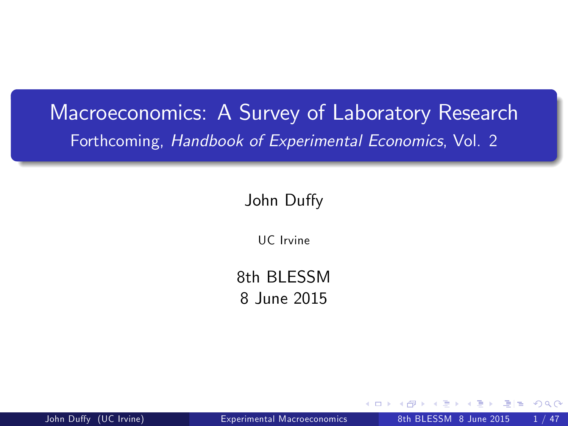# Macroeconomics: A Survey of Laboratory Research Forthcoming, Handbook of Experimental Economics, Vol. 2

#### John Duffy

UC Irvine

8th BI FSSM 8 June 2015

<span id="page-0-0"></span>

John Duffy (UC Irvine) **[Experimental Macroeconomics](#page-32-0)** 8th BLESSM 8 June 2015 1 / 47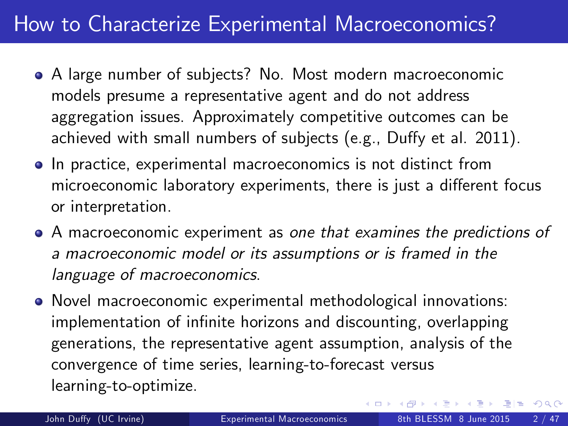## How to Characterize Experimental Macroeconomics?

- A large number of subjects? No. Most modern macroeconomic models presume a representative agent and do not address aggregation issues. Approximately competitive outcomes can be achieved with small numbers of subjects (e.g., Duffy et al. 2011).
- In practice, experimental macroeconomics is not distinct from microeconomic laboratory experiments, there is just a different focus or interpretation.
- A macroeconomic experiment as one that examines the predictions of a macroeconomic model or its assumptions or is framed in the language of macroeconomics.
- Novel macroeconomic experimental methodological innovations: implementation of infinite horizons and discounting, overlapping generations, the representative agent assumption, analysis of the convergence of time series, learning-to-forecast versus learning-to-optimize.

 $E = \Omega$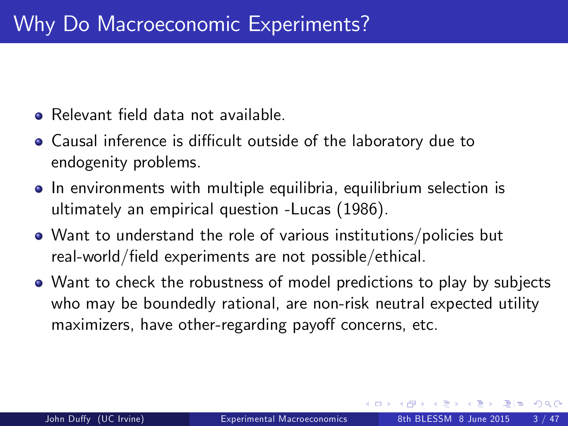- Relevant field data not available.
- Causal inference is difficult outside of the laboratory due to endogenity problems.
- In environments with multiple equilibria, equilibrium selection is ultimately an empirical question -Lucas (1986).
- Want to understand the role of various institutions/policies but real-world/field experiments are not possible/ethical.
- Want to check the robustness of model predictions to play by subjects who may be boundedly rational, are non-risk neutral expected utility maximizers, have other-regarding payoff concerns, etc.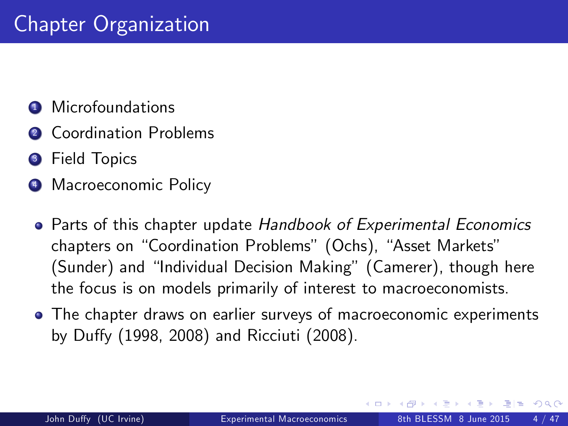- **4** Microfoundations
- **2** Coordination Problems
- **3** Field Topics
- **4** Macroeconomic Policy
	- **Parts of this chapter update Handbook of Experimental Economics** chapters on "Coordination Problems" (Ochs), "Asset Markets" (Sunder) and "Individual Decision Making" (Camerer), though here the focus is on models primarily of interest to macroeconomists.
	- The chapter draws on earlier surveys of macroeconomic experiments by Duffy (1998, 2008) and Ricciuti (2008).

通信 めなめ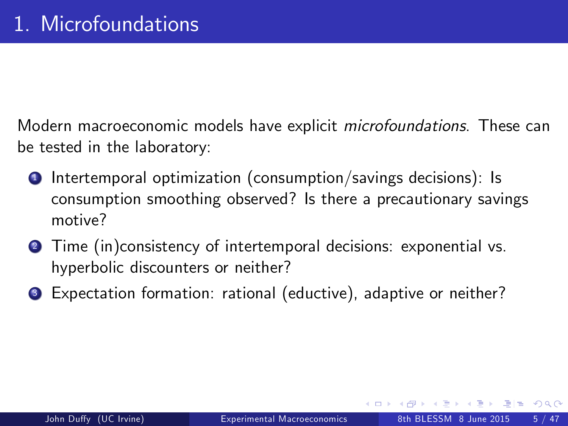Modern macroeconomic models have explicit microfoundations. These can be tested in the laboratory:

- $\bullet$  Intertemporal optimization (consumption/savings decisions): Is consumption smoothing observed? Is there a precautionary savings motive?
- **2** Time (in)consistency of intertemporal decisions: exponential vs. hyperbolic discounters or neither?
- <sup>3</sup> Expectation formation: rational (eductive), adaptive or neither?

通信 めなめ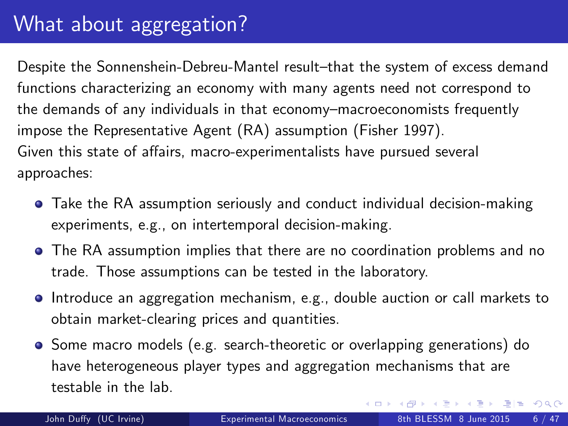# What about aggregation?

Despite the Sonnenshein-Debreu-Mantel result-that the system of excess demand functions characterizing an economy with many agents need not correspond to the demands of any individuals in that economy-macroeconomists frequently impose the Representative Agent (RA) assumption (Fisher 1997). Given this state of affairs, macro-experimentalists have pursued several approaches:

- Take the RA assumption seriously and conduct individual decision-making experiments, e.g., on intertemporal decision-making.
- The RA assumption implies that there are no coordination problems and no trade. Those assumptions can be tested in the laboratory.
- Introduce an aggregation mechanism, e.g., double auction or call markets to obtain market-clearing prices and quantities.
- <span id="page-5-0"></span>Some macro models (e.g. search-theoretic or overlapping generations) do have heterogeneous player types and aggregation mechanisms that are testable in the lab.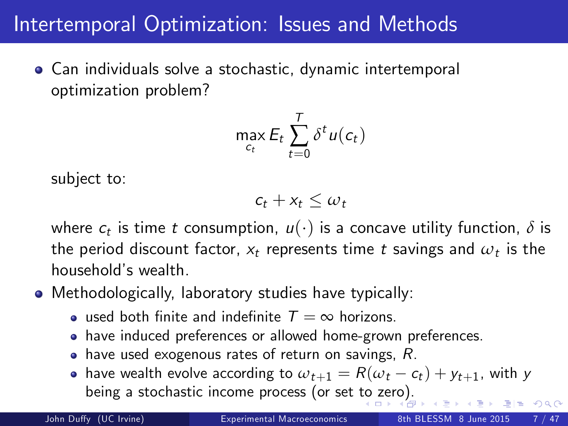#### Intertemporal Optimization: Issues and Methods

Can individuals solve a stochastic, dynamic intertemporal optimization problem?

$$
\max_{c_t} E_t \sum_{t=0}^T \delta^t u(c_t)
$$

subject to:

<span id="page-6-0"></span>
$$
c_t + x_t \leq \omega_t
$$

where  $c_t$  is time t consumption,  $u(\cdot)$  is a concave utility function,  $\delta$  is the period discount factor,  $x_t$  represents time  $t$  savings and  $\omega_t$  is the household's wealth.

Methodologically, laboratory studies have typically:

- used both finite and indefinite  $T = \infty$  horizons.
- have induced preferences or allowed home-grown preferences.
- $\bullet$  have used exogenous rates of return on savings, R.
- have wealth evolve according to  $\omega_{t+1} = R(\omega_t c_t) + y_{t+1}$ , with y being a stochastic income process (or set [to](#page-5-0) [zer](#page-7-0)[o](#page-5-0)[\).](#page-6-0)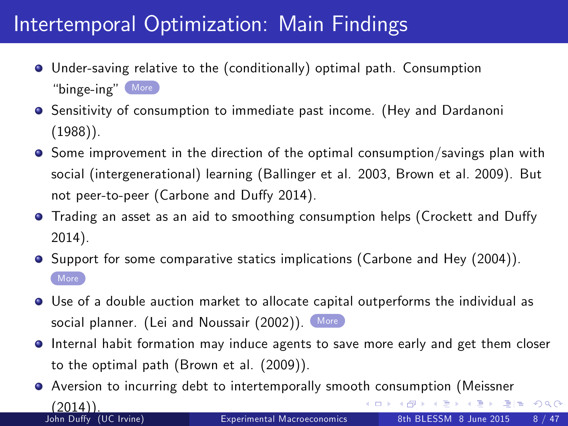# Intertemporal Optimization: Main Findings

- <span id="page-7-1"></span>Under-saving relative to the (conditionally) optimal path. Consumption "binge-ing" [More](#page-33-0)
- **•** Sensitivity of consumption to immediate past income. (Hey and Dardanoni (1988)).
- **•** Some improvement in the direction of the optimal consumption/savings plan with social (intergenerational) learning (Ballinger et al. 2003, Brown et al. 2009). But not peer-to-peer (Carbone and Duffy 2014).
- Trading an asset as an aid to smoothing consumption helps (Crockett and Duffy 2014).
- **Support for some comparative statics implications (Carbone and Hey (2004)). [More](#page-34-0)**
- Use of a double auction market to allocate capital outperforms the individual as social planner. (Lei and Noussair (2002)). [More](#page-35-0)
- Internal habit formation may induce agents to save more early and get them closer to the optimal path (Brown et al. (2009)).
- <span id="page-7-0"></span>Aversion to incurring debt to intertemporally smooth consumption (Meissner K ロ ▶ K @ ▶ K 할 ▶ K 할 ▶ [ 할 날 수 있어  $(2011)$ John Duffy (UC Irvine) **[Experimental Macroeconomics](#page-0-0)** 8th BLESSM 8 June 2015 8 / 47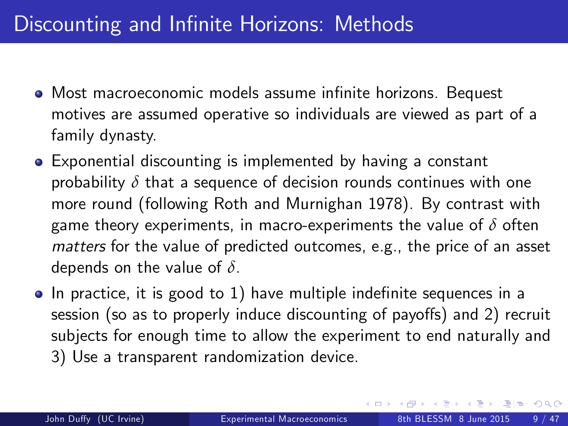# Discounting and Infinite Horizons: Methods

- $\bullet$  Most macroeconomic models assume infinite horizons. Bequest motives are assumed operative so individuals are viewed as part of a family dynasty.
- Exponential discounting is implemented by having a constant probability *δ* that a sequence of decision rounds continues with one more round (following Roth and Murnighan 1978). By contrast with game theory experiments, in macro-experiments the value of *δ* often matters for the value of predicted outcomes, e.g., the price of an asset depends on the value of *δ*.
- In practice, it is good to 1) have multiple indefinite sequences in a session (so as to properly induce discounting of payoffs) and 2) recruit subjects for enough time to allow the experiment to end naturally and 3) Use a transparent randomization device.

E B K E B E H S M G O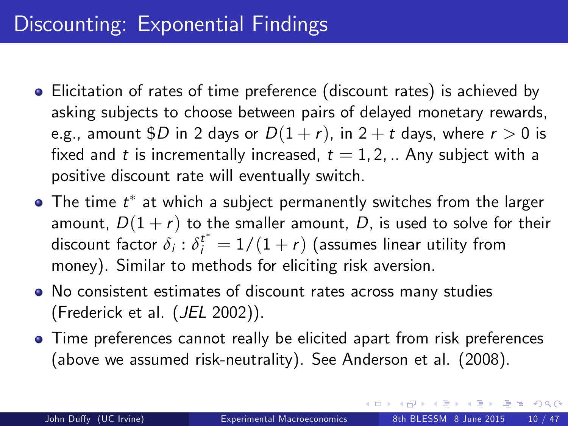# Discounting: Exponential Findings

- Elicitation of rates of time preference (discount rates) is achieved by asking subjects to choose between pairs of delayed monetary rewards, e.g., amount \$D in 2 days or  $D(1 + r)$ , in 2 + t days, where  $r > 0$  is fixed and t is incrementally increased,  $t = 1, 2, ...$  Any subject with a positive discount rate will eventually switch.
- The time  $t^\ast$  at which a subject permanently switches from the larger amount,  $D(1 + r)$  to the smaller amount, D, is used to solve for their discount factor  $\delta_i: \delta^{t^*}_i = 1/(1+r)$  (assumes linear utility from money). Similar to methods for eliciting risk aversion.
- No consistent estimates of discount rates across many studies (Frederick et al. (JEL 2002)).
- Time preferences cannot really be elicited apart from risk preferences (above we assumed risk-neutrality). See Anderson et al. (2008).

 $AB + AB + AB + AB + AB = 990$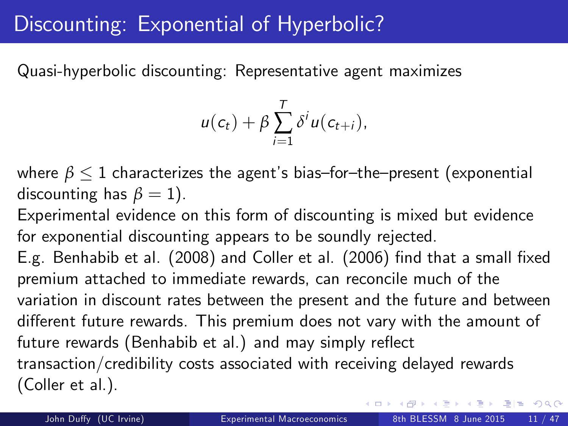# Discounting: Exponential of Hyperbolic?

Quasi-hyperbolic discounting: Representative agent maximizes

$$
u(c_t)+\beta\sum_{i=1}^T\delta^i u(c_{t+i}),
$$

where  $\beta \leq 1$  characterizes the agent's bias–for–the–present (exponential discounting has  $\beta = 1$ ).

Experimental evidence on this form of discounting is mixed but evidence for exponential discounting appears to be soundly rejected.

E.g. Benhabib et al. (2008) and Coller et al. (2006) find that a small fixed premium attached to immediate rewards, can reconcile much of the variation in discount rates between the present and the future and between different future rewards. This premium does not vary with the amount of future rewards (Benhabib et al.) and may simply reflect transaction/credibility costs associated with receiving delayed rewards (Coller et al.).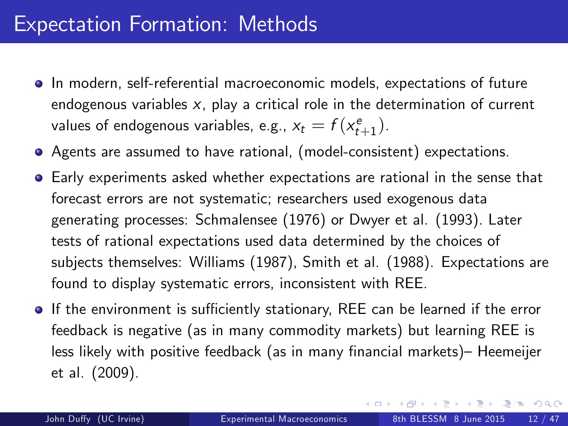- **In modern, self-referential macroeconomic models, expectations of future** endogenous variables  $x$ , play a critical role in the determination of current values of endogenous variables, e.g.,  $x_t = f(x_{t+1}^e)$ .
- Agents are assumed to have rational, (model-consistent) expectations.
- Early experiments asked whether expectations are rational in the sense that forecast errors are not systematic; researchers used exogenous data generating processes: Schmalensee (1976) or Dwyer et al. (1993). Later tests of rational expectations used data determined by the choices of subjects themselves: Williams (1987), Smith et al. (1988). Expectations are found to display systematic errors, inconsistent with REE.
- **If the environment is sufficiently stationary, REE can be learned if the error** feedback is negative (as in many commodity markets) but learning REE is less likely with positive feedback (as in many financial markets)– Heemeijer et al. (2009).

KED KARD KED KED EE YAA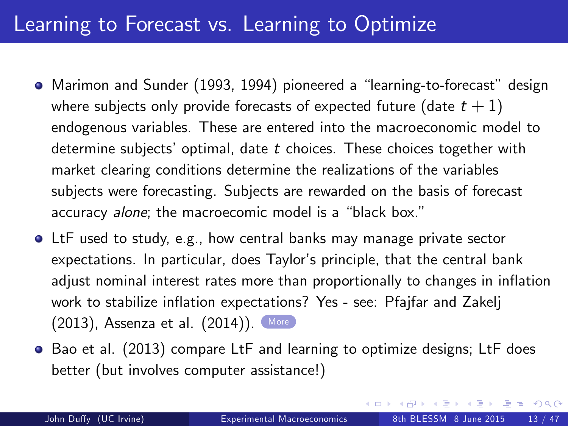#### Learning to Forecast vs. Learning to Optimize

- <span id="page-12-1"></span>• Marimon and Sunder (1993, 1994) pioneered a "learning-to-forecast" design where subjects only provide forecasts of expected future (date  $t + 1$ ) endogenous variables. These are entered into the macroeconomic model to determine subjects' optimal, date  $t$  choices. These choices together with market clearing conditions determine the realizations of the variables subjects were forecasting. Subjects are rewarded on the basis of forecast accuracy alone; the macroecomic model is a "black box."
- LtF used to study, e.g., how central banks may manage private sector expectations. In particular, does Taylor's principle, that the central bank adjust nominal interest rates more than proportionally to changes in inflation work to stabilize inflation expectations? Yes - see: Pfajfar and Zakelj (2013), Assenza et al. (2014)). [More](#page-36-0)
- <span id="page-12-0"></span>Bao et al. (2013) compare LtF and learning to optimize designs; LtF does better (but involves computer assistance!)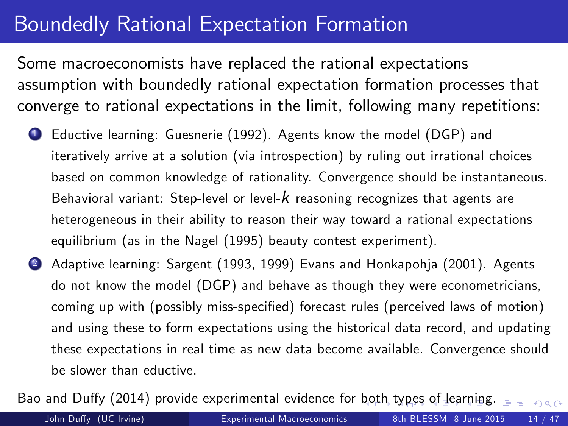## Boundedly Rational Expectation Formation

Some macroeconomists have replaced the rational expectations assumption with boundedly rational expectation formation processes that converge to rational expectations in the limit, following many repetitions:

- <sup>1</sup> Eductive learning: Guesnerie (1992). Agents know the model (DGP) and iteratively arrive at a solution (via introspection) by ruling out irrational choices based on common knowledge of rationality. Convergence should be instantaneous. Behavioral variant: Step-level or level- $k$  reasoning recognizes that agents are heterogeneous in their ability to reason their way toward a rational expectations equilibrium (as in the Nagel (1995) beauty contest experiment).
- 2 Adaptive learning: Sargent (1993, 1999) Evans and Honkapohja (2001). Agents do not know the model (DGP) and behave as though they were econometricians, coming up with (possibly miss-specified) forecast rules (perceived laws of motion) and using these to form expectations using the historical data record, and updating these expectations in real time as new data become available. Convergence should be slower than eductive.

Bao and Duffy (2014) provide experimental evidence for [bo](#page-12-0)t[h](#page-14-0) [ty](#page-12-0)[pe](#page-13-0)[s](#page-14-0) [of](#page-0-0) [le](#page-32-0)[a](#page-33-1)[rni](#page-0-0)[ng](#page-32-0)[.](#page-33-1)  $\frac{1}{2}$ 

<span id="page-13-0"></span>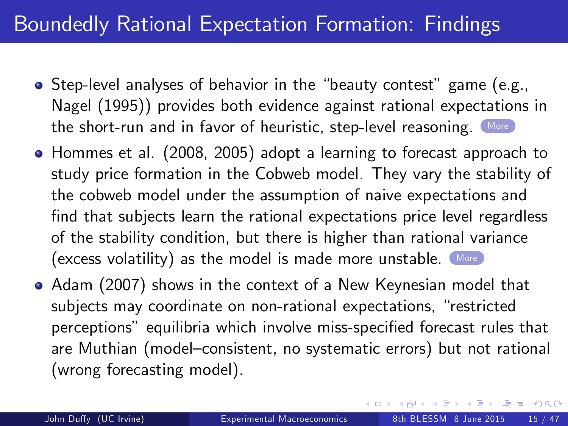## Boundedly Rational Expectation Formation: Findings

- <span id="page-14-1"></span>• Step-level analyses of behavior in the "beauty contest" game (e.g., Nagel (1995)) provides both evidence against rational expectations in the short-run and in favor of heuristic, step-level reasoning. [More](#page-37-0)
- Hommes et al. (2008, 2005) adopt a learning to forecast approach to study price formation in the Cobweb model. They vary the stability of the cobweb model under the assumption of naive expectations and find that subjects learn the rational expectations price level regardless of the stability condition, but there is higher than rational variance (excess volatility) as the model is made more unstable. [More](#page-38-0)
- Adam (2007) shows in the context of a New Keynesian model that subjects may coordinate on non-rational expectations, "restricted perceptions" equilibria which involve miss-specified forecast rules that are Muthian (model-consistent, no systematic errors) but not rational (wrong forecasting model).

<span id="page-14-0"></span>KED KARD KED KED EE YAA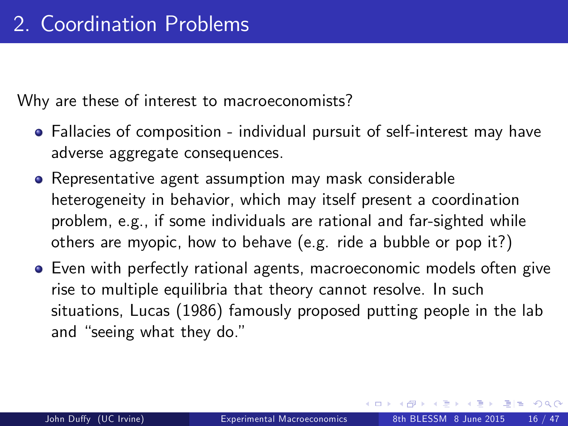Why are these of interest to macroeconomists?

- Fallacies of composition individual pursuit of self-interest may have adverse aggregate consequences.
- Representative agent assumption may mask considerable heterogeneity in behavior, which may itself present a coordination problem, e.g., if some individuals are rational and far-sighted while others are myopic, how to behave (e.g. ride a bubble or pop it?)
- Even with perfectly rational agents, macroeconomic models often give rise to multiple equilibria that theory cannot resolve. In such situations, Lucas (1986) famously proposed putting people in the lab and "seeing what they do."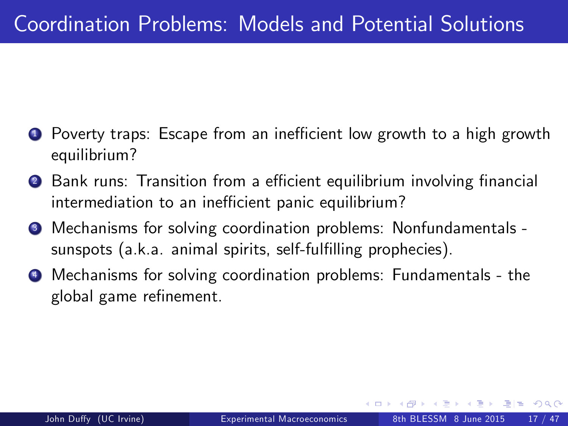- Poverty traps: Escape from an inefficient low growth to a high growth equilibrium?
- <sup>2</sup> Bank runs: Transition from a efficient equilibrium involving financial intermediation to an inefficient panic equilibrium?
- <sup>3</sup> Mechanisms for solving coordination problems: Nonfundamentals sunspots (a.k.a. animal spirits, self-fulfilling prophecies).
- <sup>4</sup> Mechanisms for solving coordination problems: Fundamentals the global game refinement.

通信 めなめ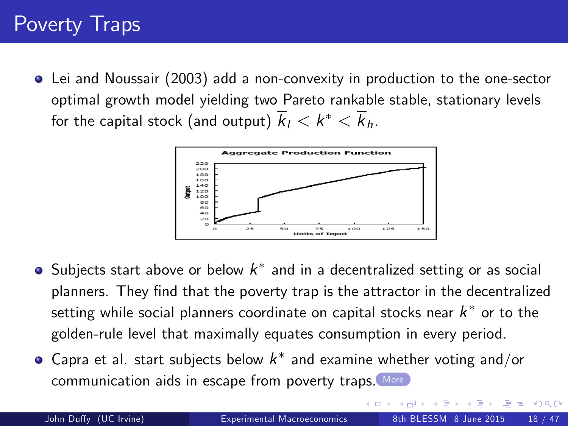# Poverty Traps

<span id="page-17-1"></span>Lei and Noussair (2003) add a non-convexity in production to the one-sector optimal growth model yielding two Pareto rankable stable, stationary levels for the capital stock (and output)  $k_l < k^\ast < k_h$ .



- Subjects start above or below  $k^\ast$  and in a decentralized setting or as social planners. They find that the poverty trap is the attractor in the decentralized setting while social planners coordinate on capital stocks near  $k^\ast$  or to the golden-rule level that maximally equates consumption in every period.
- Capra et al. start subjects below  $k^*$  and examine whether voting and/or communication aids in escape from poverty traps. [More](#page-39-0)

<span id="page-17-0"></span> $\Omega$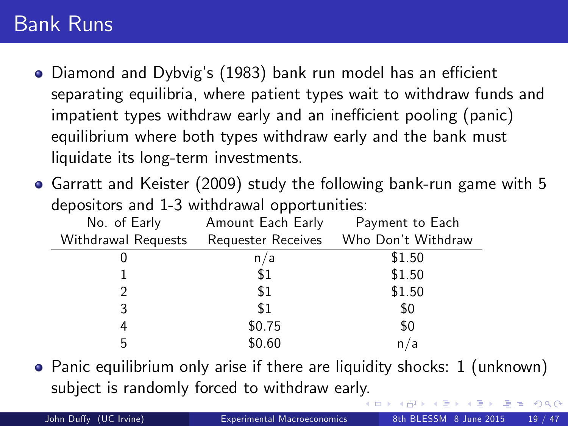#### Bank Runs

- Diamond and Dybvig's (1983) bank run model has an efficient separating equilibria, where patient types wait to withdraw funds and impatient types withdraw early and an inefficient pooling (panic) equilibrium where both types withdraw early and the bank must liquidate its long-term investments.
- Garratt and Keister (2009) study the following bank-run game with 5 depositors and 1-3 withdrawal opportunities:

| No. of Early        | Amount Each Early | Payment to Each                       |
|---------------------|-------------------|---------------------------------------|
| Withdrawal Requests |                   | Requester Receives Who Don't Withdraw |
|                     | n/a               | \$1.50                                |
|                     | \$1               | \$1.50                                |
| 2                   | \$1               | \$1.50                                |
| 3                   | \$1               | \$0                                   |
| 4                   | \$0.75            | \$0                                   |
| 5                   | \$0.60            | n/a                                   |

Panic equilibrium only arise if there are liquidity shocks: 1 (unknown) subject is randomly forced to withdraw earl[y.](#page-17-0)

 $E|E$   $\Omega$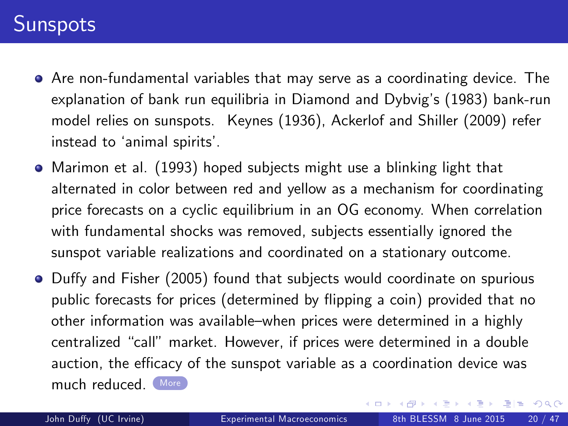#### **Sunspots**

- <span id="page-19-0"></span>Are non-fundamental variables that may serve as a coordinating device. The explanation of bank run equilibria in Diamond and Dybvig's (1983) bank-run model relies on sunspots. Keynes (1936), Ackerlof and Shiller (2009) refer instead to 'animal spirits'.
- Marimon et al. (1993) hoped subjects might use a blinking light that alternated in color between red and yellow as a mechanism for coordinating price forecasts on a cyclic equilibrium in an OG economy. When correlation with fundamental shocks was removed, subjects essentially ignored the sunspot variable realizations and coordinated on a stationary outcome.
- Duffy and Fisher (2005) found that subjects would coordinate on spurious public forecasts for prices (determined by flipping a coin) provided that no other information was available-when prices were determined in a highly centralized "call" market. However, if prices were determined in a double auction, the efficacy of the sunspot variable as a coordination device was much reduced ([More](#page-40-0))

KED KARD KED KED EE YAA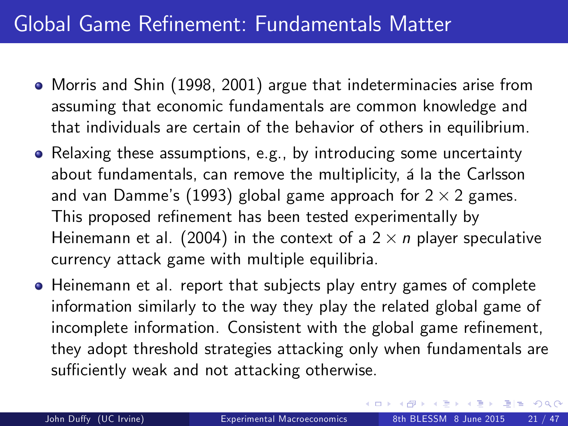## Global Game Refinement: Fundamentals Matter

- Morris and Shin (1998, 2001) argue that indeterminacies arise from assuming that economic fundamentals are common knowledge and that individuals are certain of the behavior of others in equilibrium.
- Relaxing these assumptions, e.g., by introducing some uncertainty about fundamentals, can remove the multiplicity, a la the Carlsson and van Damme's (1993) global game approach for 2  $\times$  2 games.<br>— This proposed refinement has been tested experimentally by Heinemann et al. (2004) in the context of a 2  $\times$  n player speculative currency attack game with multiple equilibria.
- Heinemann et al. report that subjects play entry games of complete information similarly to the way they play the related global game of incomplete information. Consistent with the global game refinement, they adopt threshold strategies attacking only when fundamentals are sufficiently weak and not attacking otherwise.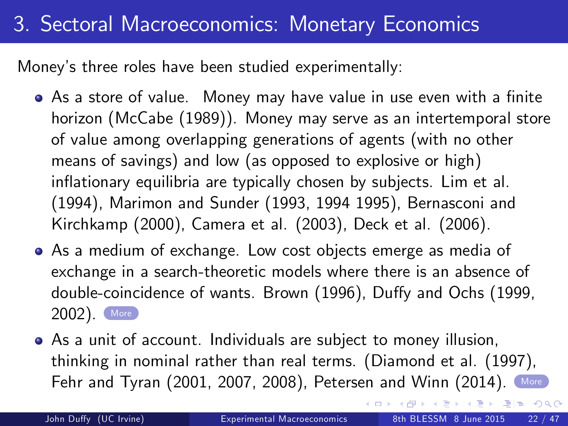## 3. Sectoral Macroeconomics: Monetary Economics

<span id="page-21-0"></span>Money's three roles have been studied experimentally:

- As a store of value. Money may have value in use even with a finite horizon (McCabe (1989)). Money may serve as an intertemporal store of value among overlapping generations of agents (with no other means of savings) and low (as opposed to explosive or high) inflationary equilibria are typically chosen by subjects. Lim et al. (1994), Marimon and Sunder (1993, 1994 1995), Bernasconi and Kirchkamp (2000), Camera et al. (2003), Deck et al. (2006).
- As a medium of exchange. Low cost objects emerge as media of exchange in a search-theoretic models where there is an absence of double-coincidence of wants. Brown (1996), Duffy and Ochs (1999, 2002). [More](#page-41-0)
- As a unit of account. Individuals are subject to money illusion, thinking in nominal rather than real terms. (Diamond et al. (1997), Fehr and Tyran (2001, 2007, 2008), Petersen and Winn (2014). [More](#page-42-0)

 $E|E \cap Q$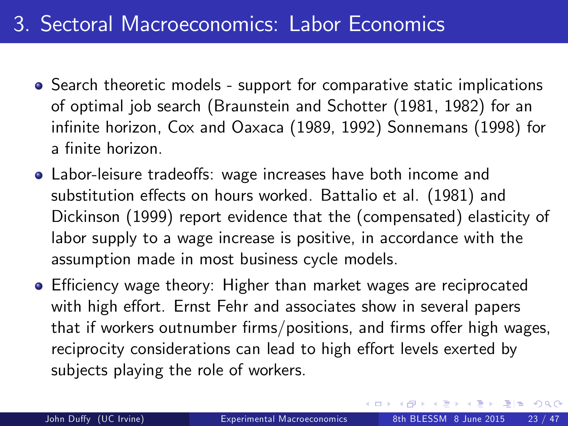## 3. Sectoral Macroeconomics: Labor Economics

- Search theoretic models support for comparative static implications of optimal job search (Braunstein and Schotter (1981, 1982) for an infinite horizon, Cox and Oaxaca (1989, 1992) Sonnemans (1998) for a finite horizon.
- Labor-leisure tradeoffs: wage increases have both income and substitution effects on hours worked. Battalio et al. (1981) and Dickinson (1999) report evidence that the (compensated) elasticity of labor supply to a wage increase is positive, in accordance with the assumption made in most business cycle models.
- <span id="page-22-0"></span>● Efficiency wage theory: Higher than market wages are reciprocated with high effort. Ernst Fehr and associates show in several papers that if workers outnumber firms/positions, and firms offer high wages, reciprocity considerations can lead to high effort levels exerted by subjects playing the role of workers.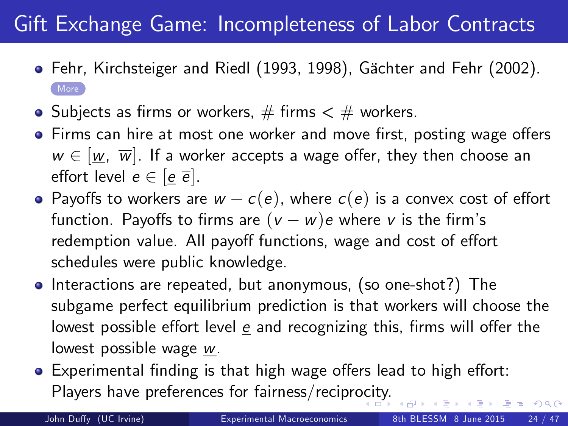# Gift Exchange Game: Incompleteness of Labor Contracts

- <span id="page-23-0"></span>● Fehr, Kirchsteiger and Riedl (1993, 1998), Gächter and Fehr (2002). [More](#page-43-0)
- Subjects as firms or workers,  $#$  firms  $<$   $#$  workers.
- Firms can hire at most one worker and move first, posting wage offers  $w \in [w, \overline{w}]$ . If a worker accepts a wage offer, they then choose an effort level  $e \in [e \overline{e}]$ .
- Payoffs to workers are  $w c(e)$ , where  $c(e)$  is a convex cost of effort function. Payoffs to firms are  $(v - w)e$  where v is the firm's redemption value. All payoff functions, wage and cost of effort schedules were public knowledge.
- Interactions are repeated, but anonymous, (so one-shot?) The subgame perfect equilibrium prediction is that workers will choose the lowest possible effort level  $e$  and recognizing this, firms will offer the lowest possible wage w.
- Experimental finding is that high wage offers lead to high effort: Players have preferences for fairness/recipr[oci](#page-22-0)t[y.](#page-24-0)

 $QQ$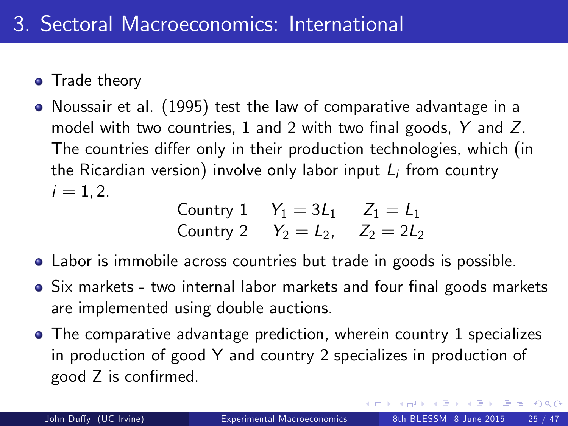- Trade theory
- Noussair et al. (1995) test the law of comparative advantage in a model with two countries, 1 and 2 with two final goods,  $Y$  and  $Z$ . The countries differ only in their production technologies, which (in the Ricardian version) involve only labor input  $L_i$  from country  $i = 1, 2.$

Country 1 
$$
Y_1 = 3L_1
$$
  $Z_1 = L_1$   
Country 2  $Y_2 = L_2$ ,  $Z_2 = 2L_2$ 

- Labor is immobile across countries but trade in goods is possible.
- Six markets two internal labor markets and four final goods markets are implemented using double auctions.
- The comparative advantage prediction, wherein country 1 specializes in production of good Y and country 2 specializes in production of  $good$  Z is confirmed.

<span id="page-24-0"></span> $E|E$   $\Omega$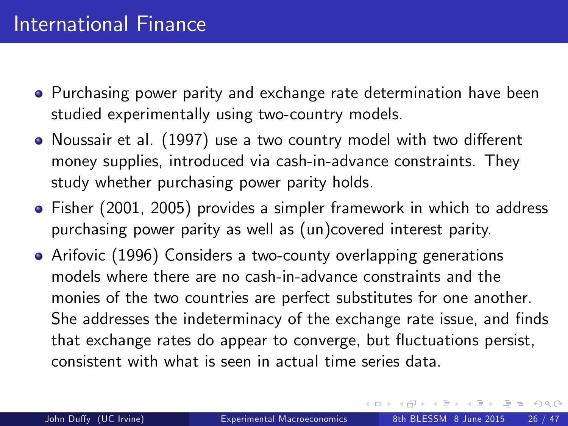- Purchasing power parity and exchange rate determination have been studied experimentally using two-country models.
- Noussair et al. (1997) use a two country model with two different money supplies, introduced via cash-in-advance constraints. They study whether purchasing power parity holds.
- Fisher (2001, 2005) provides a simpler framework in which to address purchasing power parity as well as (un)covered interest parity.
- Arifovic (1996) Considers a two-county overlapping generations models where there are no cash-in-advance constraints and the monies of the two countries are perfect substitutes for one another. She addresses the indeterminacy of the exchange rate issue, and finds that exchange rates do appear to converge, but fluctuations persist, consistent with what is seen in actual time series data.

 $F = \Omega Q$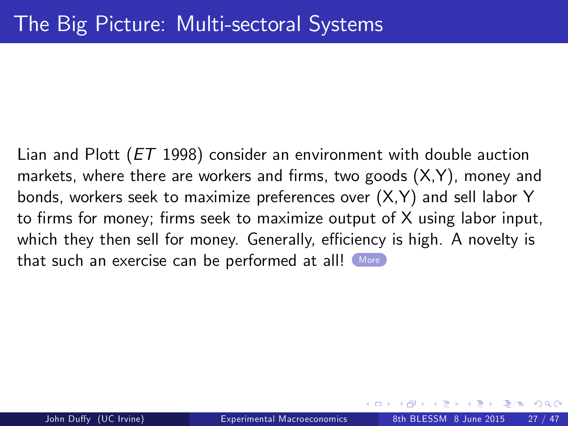<span id="page-26-0"></span>Lian and Plott (ET 1998) consider an environment with double auction markets, where there are workers and firms, two goods  $(X,Y)$ , money and bonds, workers seek to maximize preferences over (X,Y) and sell labor Y to firms for money; firms seek to maximize output of  $X$  using labor input, which they then sell for money. Generally, efficiency is high. A novelty is that such an exercise can be performed at all! [More](#page-44-0)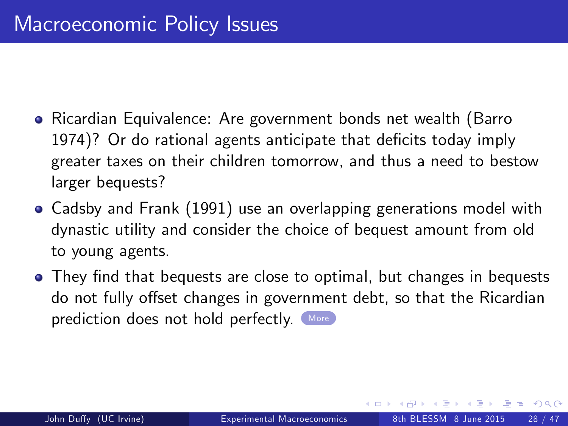- <span id="page-27-0"></span>Ricardian Equivalence: Are government bonds net wealth (Barro 1974)? Or do rational agents anticipate that deficits today imply greater taxes on their children tomorrow, and thus a need to bestow larger bequests?
- Cadsby and Frank (1991) use an overlapping generations model with dynastic utility and consider the choice of bequest amount from old to young agents.
- They find that bequests are close to optimal, but changes in bequests do not fully offset changes in government debt, so that the Ricardian prediction does not hold perfectly. [More](#page-45-0)

 $E|E$   $\Omega$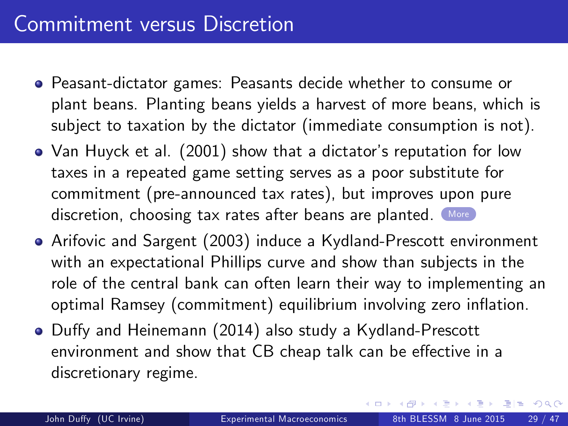#### Commitment versus Discretion

- Peasant-dictator games: Peasants decide whether to consume or plant beans. Planting beans yields a harvest of more beans, which is subject to taxation by the dictator (immediate consumption is not).
- Van Huyck et al. (2001) show that a dictator's reputation for low taxes in a repeated game setting serves as a poor substitute for commitment (pre-announced tax rates), but improves upon pure discretion, choosing tax rates after beans are planted. ([More](#page-46-0))
- Arifovic and Sargent (2003) induce a Kydland-Prescott environment with an expectational Phillips curve and show than subjects in the role of the central bank can often learn their way to implementing an optimal Ramsey (commitment) equilibrium involving zero inflation.
- Duffy and Heinemann (2014) also study a Kydland-Prescott environment and show that CB cheap talk can be effective in a discretionary regime.

 $F = \Omega Q$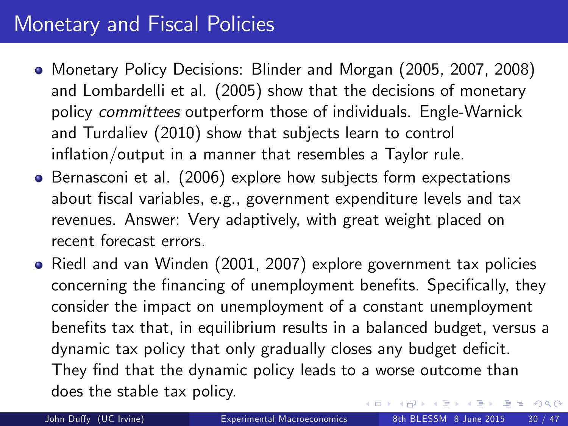#### Monetary and Fiscal Policies

- Monetary Policy Decisions: Blinder and Morgan (2005, 2007, 2008) and Lombardelli et al. (2005) show that the decisions of monetary policy committees outperform those of individuals. Engle-Warnick and Turdaliev (2010) show that subjects learn to control  $inflation/output$  in a manner that resembles a Taylor rule.
- **•** Bernasconi et al. (2006) explore how subjects form expectations about fiscal variables, e.g., government expenditure levels and tax revenues. Answer: Very adaptively, with great weight placed on recent forecast errors.
- Riedl and van Winden (2001, 2007) explore government tax policies concerning the financing of unemployment benefits. Specifically, they consider the impact on unemployment of a constant unemployment benefits tax that, in equilibrium results in a balanced budget, versus a dynamic tax policy that only gradually closes any budget deficit. They find that the dynamic policy leads to a worse outcome than does the stable tax policy.  $A \equiv A$   $B \equiv A$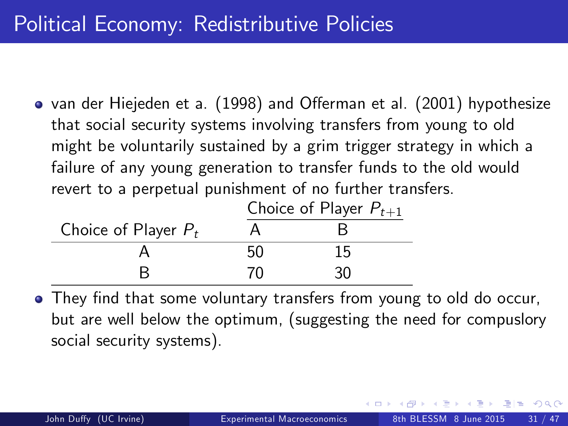## Political Economy: Redistributive Policies

• van der Hiejeden et a. (1998) and Offerman et al. (2001) hypothesize that social security systems involving transfers from young to old might be voluntarily sustained by a grim trigger strategy in which a failure of any young generation to transfer funds to the old would revert to a perpetual punishment of no further transfers.

|                        | Choice of Player $P_{t+1}$ |    |  |
|------------------------|----------------------------|----|--|
| Choice of Player $P_t$ |                            |    |  |
|                        | 50                         | 15 |  |
|                        | 70                         | 30 |  |

• They find that some voluntary transfers from young to old do occur, but are well below the optimum, (suggesting the need for compuslory social security systems).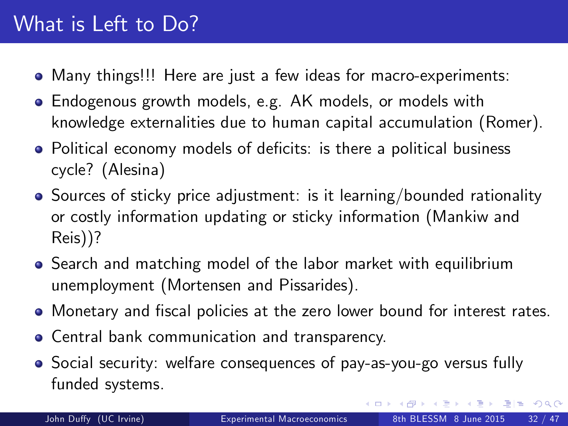#### What is Left to Do?

- Many things!!! Here are just a few ideas for macro-experiments:
- Endogenous growth models, e.g. AK models, or models with knowledge externalities due to human capital accumulation (Romer).
- Political economy models of deficits: is there a political business cycle? (Alesina)
- Sources of sticky price adjustment: is it learning/bounded rationality or costly information updating or sticky information (Mankiw and Reis))?
- Search and matching model of the labor market with equilibrium unemployment (Mortensen and Pissarides).
- Monetary and fiscal policies at the zero lower bound for interest rates.
- Central bank communication and transparency.
- Social security: welfare consequences of pay-as-you-go versus fully funded systems.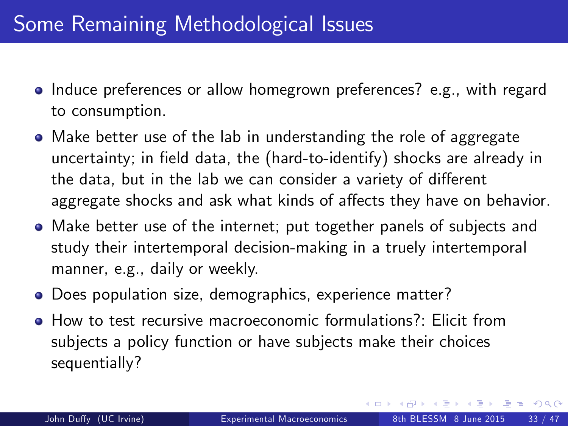# Some Remaining Methodological Issues

- Induce preferences or allow homegrown preferences? e.g., with regard to consumption.
- Make better use of the lab in understanding the role of aggregate uncertainty; in field data, the (hard-to-identify) shocks are already in the data, but in the lab we can consider a variety of different aggregate shocks and ask what kinds of affects they have on behavior.
- Make better use of the internet; put together panels of subjects and study their intertemporal decision-making in a truely intertemporal manner, e.g., daily or weekly.
- Does population size, demographics, experience matter?
- How to test recursive macroeconomic formulations?: Elicit from subjects a policy function or have subjects make their choices sequentially?

<span id="page-32-0"></span>ৰ ≣ ► ৰ ≣ ► - ≣Hell Kn Q (^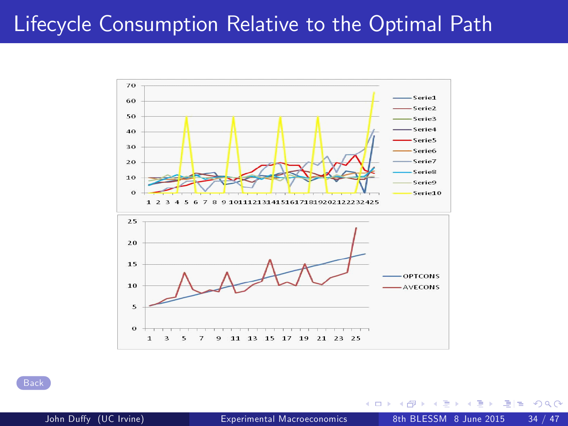#### <span id="page-33-0"></span>Lifecycle Consumption Relative to the Optimal Path



**[Back](#page-7-1)** 

14.1 ≔

4 0 8

<span id="page-33-1"></span> $= \Omega Q$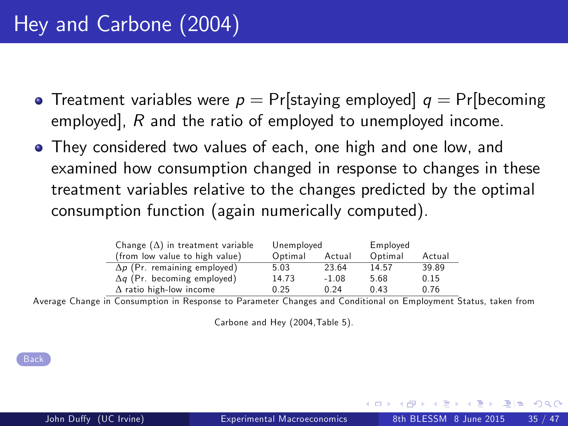- <span id="page-34-0"></span>• Treatment variables were  $p = Pr[$ staying employed  $q = Pr[$ becoming employed], R and the ratio of employed to unemployed income.
- They considered two values of each, one high and one low, and examined how consumption changed in response to changes in these treatment variables relative to the changes predicted by the optimal consumption function (again numerically computed).

| Change $(\Delta)$ in treatment variable | Unemployed |         | Employed |        |
|-----------------------------------------|------------|---------|----------|--------|
| (from low value to high value)          | Optimal    | Actual  | Optimal  | Actual |
| $\Delta p$ (Pr. remaining employed)     | 5.03       | 23.64   | 14.57    | 39.89  |
| $\Delta q$ (Pr. becoming employed)      | 14.73      | $-1.08$ | 5.68     | 0.15   |
| $\Delta$ ratio high-low income          | 0.25       | 0.24    | 0.43     | 0.76   |

∆ ratio high-low income 0.25 0.24 0.43 0.76 Average Change in Consumption in Response to Parameter Changes and Conditional on Employment Status, taken from

Carbone and Hey (2004,Table 5).

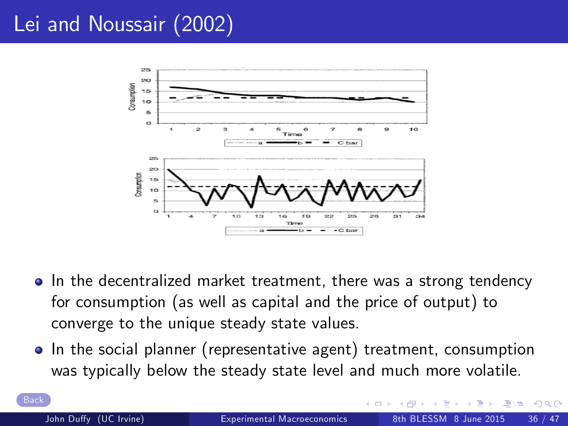# <span id="page-35-0"></span>Lei and Noussair (2002)



- In the decentralized market treatment, there was a strong tendency for consumption (as well as capital and the price of output) to converge to the unique steady state values.
- In the social planner (representative agent) treatment, consumption was typically below the steady state level and much more volatile.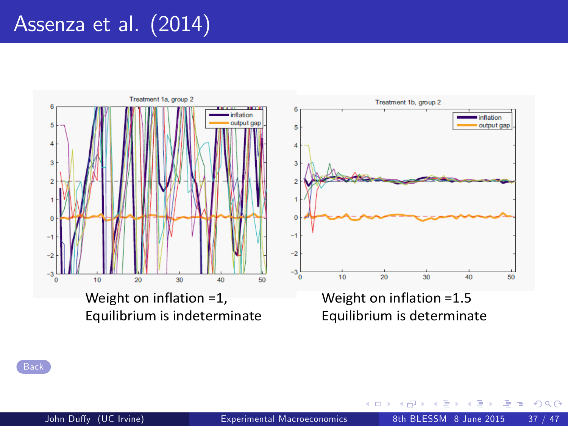# Assenza et al. (2014)

<span id="page-36-0"></span>

4 0 8

 $\Omega$ 

 $\equiv$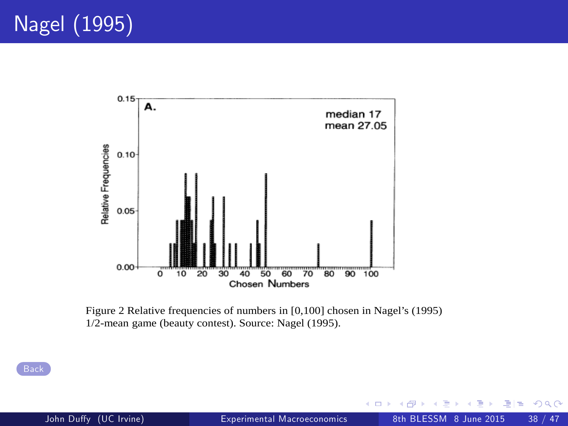<span id="page-37-0"></span>

Figure 2 Relative frequencies of numbers in [0,100] chosen in Nagel's (1995) 1/2-mean game (beauty contest). Source: Nagel (1995).

**[Back](#page-14-1)** 

÷.

э  $E \cap Q$ 

4 日下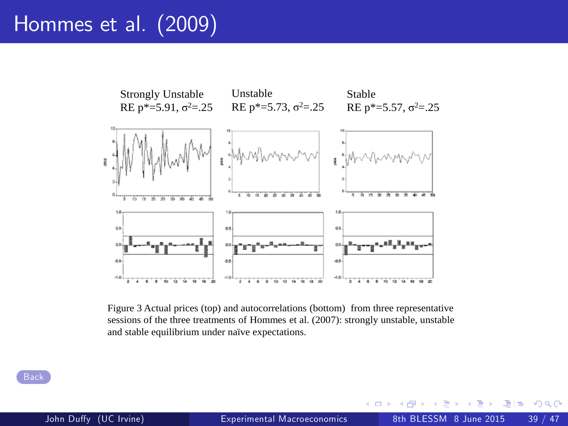#### <span id="page-38-0"></span>Hommes et al. (2009)



Figure 3 Actual prices (top) and autocorrelations (bottom) from three representative sessions of the three treatments of Hommes et al. (2007): strongly unstable, unstable and stable equilibrium under naïve expectations.

4 D F

 $\Omega$ 

÷.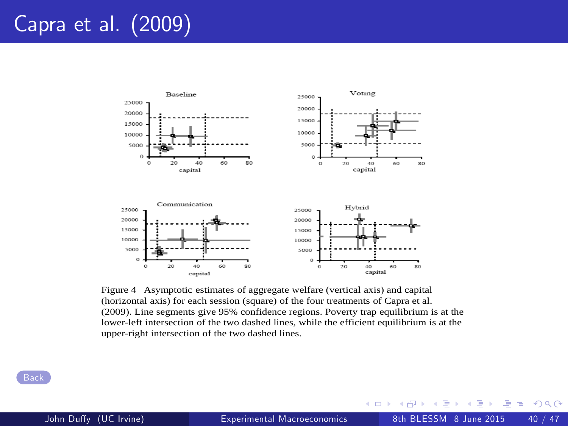# <span id="page-39-0"></span>Capra et al. (2009)



Figure 4 Asymptotic estimates of aggregate welfare (vertical axis) and capital (horizontal axis) for each session (square) of the four treatments of Capra et al. (2009). Line segments give 95% confidence regions. Poverty trap equilibrium is at the lower-left intersection of the two dashed lines, while the efficient equilibrium is at the upper-right intersection of the two dashed lines.

 $\Omega$ ÷

4 日下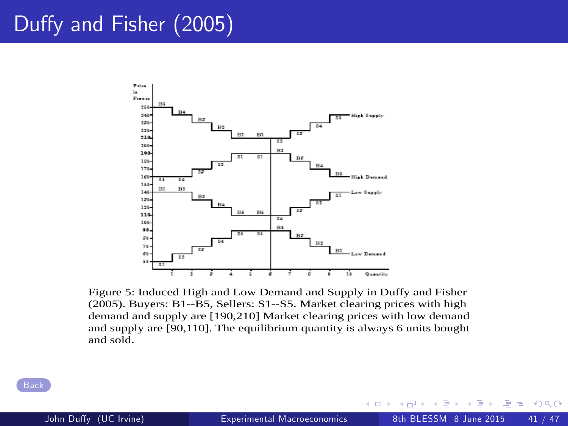#### <span id="page-40-0"></span>Duffy and Fisher (2005)



Figure 5: Induced High and Low Demand and Supply in Duffy and Fisher (2005). Buyers: B1--B5, Sellers: S1--S5. Market clearing prices with high demand and supply are [190,210] Market clearing prices with low demand and supply are [90,110]. The equilibrium quantity is always 6 units bought and sold.

 $\Omega$ 

4 D F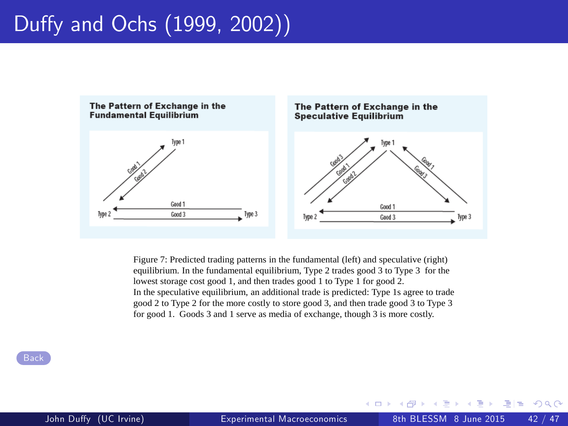# Duffy and Ochs (1999, 2002))

<span id="page-41-0"></span>

Figure 7: Predicted trading patterns in the fundamental (left) and speculative (right) equilibrium. In the fundamental equilibrium, Type 2 trades good 3 to Type 3 for the lowest storage cost good 1, and then trades good 1 to Type 1 for good 2. In the speculative equilibrium, an additional trade is predicted: Type 1s agree to trade good 2 to Type 2 for the more costly to store good 3, and then trade good 3 to Type 3 for good 1. Goods 3 and 1 serve as media of exchange, though 3 is more costly.

4 D F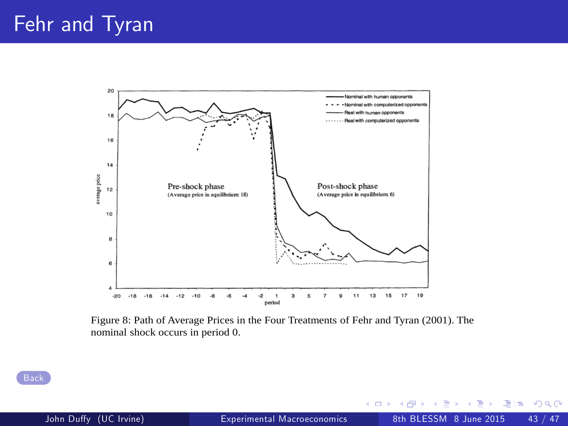<span id="page-42-0"></span>

Figure 8: Path of Average Prices in the Four Treatments of Fehr and Tyran (2001). The nominal shock occurs in period 0.

÷

**← ロ ▶ → イ 同** 

 $\sim$  $\mathcal{A}$  . 重目 のへぐ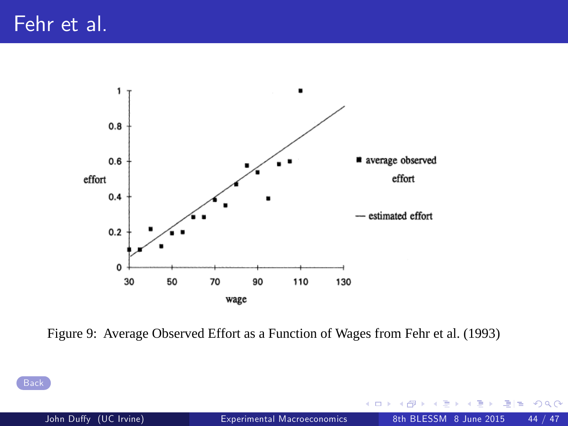<span id="page-43-0"></span>

Figure 9: Average Observed Effort as a Function of Wages from Fehr et al. (1993)

4 D F

 $\Omega$ 

÷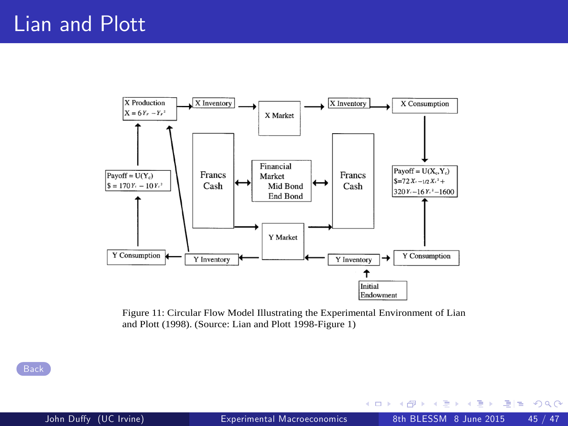<span id="page-44-0"></span>

Figure 11: Circular Flow Model Illustrating the Experimental Environment of Lian and Plott (1998). (Source: Lian and Plott 1998-Figure 1)

**[Back](#page-26-0)** 

**← ロ ▶ → イ 同** 

 $\sim$ 

 $F|E$   $\Omega$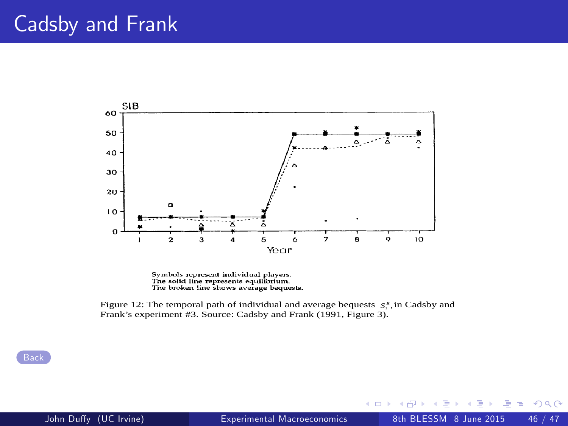## <span id="page-45-0"></span>Cadsby and Frank





Figure 12: The temporal path of individual and average bequests  $S_i^B$ , in Cadsby and Frank's experiment #3. Source: Cadsby and Frank (1991, Figure 3).

4 0 8

 $Q \cap$ 

÷  $\widehat{\phantom{a}}$